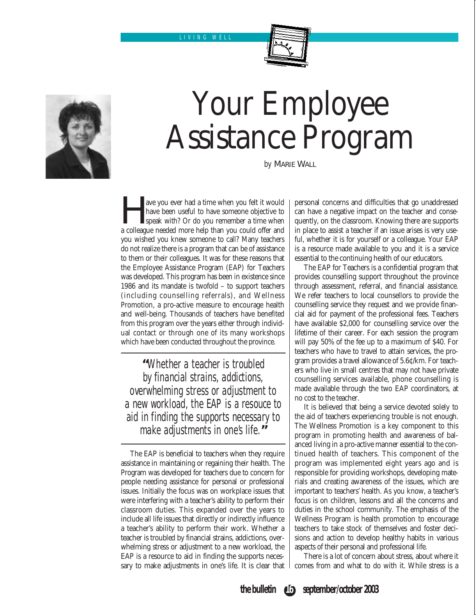LIVING WELL



## Your Employee Assistance Program

*by* MARIE WALL

The vector had a time when you felt it would have been useful to have someone objective to speak with? Or do you remember a time when a colleague needed more help than you could offer and have been useful to have someone objective to speak with? Or do you remember a time when you wished you knew someone to call? Many teachers do not realize there is a program that can be of assistance to them or their colleagues. It was for these reasons that the Employee Assistance Program (EAP) for Teachers was developed. This program has been in existence since 1986 and its mandate is twofold – to support teachers (including counselling referrals), and Wellness Promotion, a pro-active measure to encourage health and well-being. Thousands of teachers have benefited from this program over the years either through individual contact or through one of its many workshops which have been conducted throughout the province.

**"**Whether a teacher is troubled by financial strains, addictions, overwhelming stress or adjustment to a new workload, the EAP is a resouce to aid in finding the supports necessary to make adjustments in one's life.**"**

The EAP is beneficial to teachers when they require assistance in maintaining or regaining their health. The Program was developed for teachers due to concern for people needing assistance for personal or professional issues. Initially the focus was on workplace issues that were interfering with a teacher's ability to perform their classroom duties. This expanded over the years to include all life issues that directly or indirectly influence a teacher's ability to perform their work. Whether a teacher is troubled by financial strains, addictions, overwhelming stress or adjustment to a new workload, the EAP is a resource to aid in finding the supports necessary to make adjustments in one's life. It is clear that personal concerns and difficulties that go unaddressed can have a negative impact on the teacher and consequently, on the classroom. Knowing there are supports in place to assist a teacher if an issue arises is very useful, whether it is for yourself or a colleague. Your EAP is a resource made available to you and it is a service essential to the continuing health of our educators.

The EAP for Teachers is a confidential program that provides counselling support throughout the province through assessment, referral, and financial assistance. We refer teachers to local counsellors to provide the counselling service they request and we provide financial aid for payment of the professional fees. Teachers have available \$2,000 for counselling service over the lifetime of their career. For each session the program will pay 50% of the fee up to a maximum of \$40. For teachers who have to travel to attain services, the program provides a travel allowance of 5.6¢/km. For teachers who live in small centres that may not have private counselling services available, phone counselling is made available through the two EAP coordinators, at no cost to the teacher.

It is believed that being a service devoted solely to the aid of teachers experiencing trouble is not enough. The Wellness Promotion is a key component to this program in promoting health and awareness of balanced living in a pro-active manner essential to the continued health of teachers. This component of the program was implemented eight years ago and is responsible for providing workshops, developing materials and creating awareness of the issues, which are important to teachers' health. As you know, a teacher's focus is on children, lessons and all the concerns and duties in the school community. The emphasis of the Wellness Program is health promotion to encourage teachers to take stock of themselves and foster decisions and action to develop healthy habits in various aspects of their personal and professional life.

There is a lot of concern about stress, about where it comes from and what to do with it. While stress is a